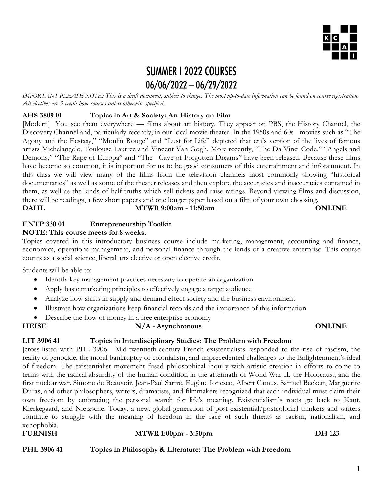

# **SUMMER I 2022 COURSES**  $06/06/2022 - 06/29/2022$

*IMPORTANT PLEASE NOTE: This is a draft document, subject to change. The most up-to-date information can be found on course registration. All electives are 3-credit hour courses unless otherwise specified.* 

## **AHS 3809 01 Topics in Art & Society: Art History on Film**

[Modern] You see them everywhere — films about art history. They appear on PBS, the History Channel, the Discovery Channel and, particularly recently, in our local movie theater. In the 1950s and 60s movies such as "The Agony and the Ecstasy," "Moulin Rouge" and "Lust for Life" depicted that era's version of the lives of famous artists Michelangelo, Toulouse Lautrec and Vincent Van Gogh. More recently, "The Da Vinci Code," "Angels and Demons," "The Rape of Europa" and "The Cave of Forgotten Dreams" have been released. Because these films have become so common, it is important for us to be good consumers of this entertainment and infotainment. In this class we will view many of the films from the television channels most commonly showing "historical documentaries" as well as some of the theater releases and then explore the accuracies and inaccuracies contained in them, as well as the kinds of half-truths which sell tickets and raise ratings. Beyond viewing films and discussion, there will be readings, a few short papers and one longer paper based on a film of your own choosing. **DAHL MTWR 9:00am - 11:50am ONLINE**

### **ENTP 330 01 Entrepreneurship Toolkit NOTE: This course meets for 8 weeks.**

Topics covered in this introductory business course include marketing, management, accounting and finance, economics, operations management, and personal finance through the lends of a creative enterprise. This course counts as a social science, liberal arts elective or open elective credit.

Students will be able to:

- Identify key management practices necessary to operate an organization
- Apply basic marketing principles to effectively engage a target audience
- Analyze how shifts in supply and demand effect society and the business environment
- Illustrate how organizations keep financial records and the importance of this information
- Describe the flow of money in a free enterprise economy

**HEISE N/A - Asynchronous ONLINE**

### **LIT 3906 41 Topics in Interdisciplinary Studies: The Problem with Freedom**

[cross-listed with PHL 3906] Mid-twentieth-century French existentialists responded to the rise of fascism, the reality of genocide, the moral bankruptcy of colonialism, and unprecedented challenges to the Enlightenment's ideal of freedom. The existentialist movement fused philosophical inquiry with artistic creation in efforts to come to terms with the radical absurdity of the human condition in the aftermath of World War II, the Holocaust, and the first nuclear war. Simone de Beauvoir, Jean-Paul Sartre, Eugène Ionesco, Albert Camus, Samuel Beckett, Marguerite Duras, and other philosophers, writers, dramatists, and filmmakers recognized that each individual must claim their own freedom by embracing the personal search for life's meaning. Existentialism's roots go back to Kant, Kierkegaard, and Nietzsche. Today. a new, global generation of post-existential/postcolonial thinkers and writers continue to struggle with the meaning of freedom in the face of such threats as racism, nationalism, and xenophobia.

**FURNISH MTWR 1:00pm - 3:50pm DH 123 PHL 3906 41 Topics in Philosophy & Literature: The Problem with Freedom**